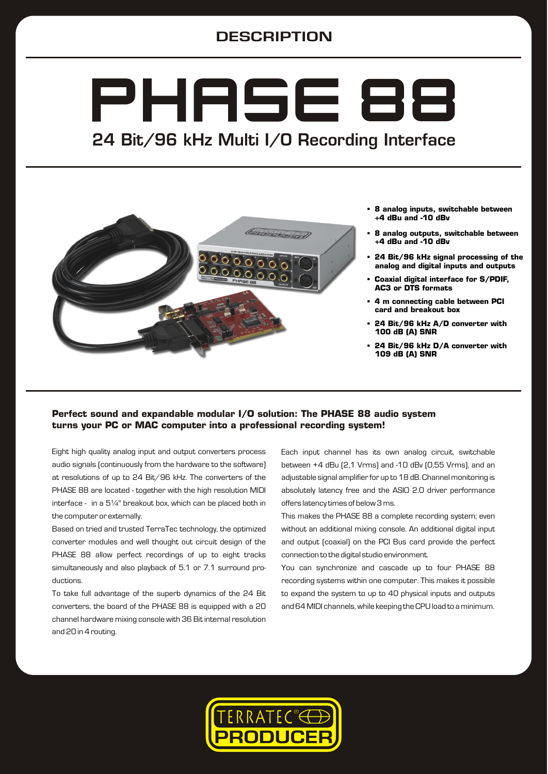## **DESCRIPTION**

# PHASE 88 24 Bit/96 kHz Multi I/O Recording Interface



- § **8 analog inputs, switchable between +4 dBu and -10 dBv**
- § **8 analog outputs, switchable between +4 dBu and -10 dBv**
- § **24 Bit/96 kHz signal processing of the analog and digital inputs and outputs**
- § **Coaxial digital interface for S/PDIF, AC3 or DTS formats**
- § **4 m connecting cable between PCI card and breakout box**
- § **24 Bit/96 kHz A/D converter with 100 dB (A) SNR**
- § **24 Bit/96 kHz D/A converter with 109 dB (A) SNR**

## **Perfect sound and expandable modular I/O solution: The PHASE 88 audio system turns your PC or MAC computer into a professional recording system!**

Eight high quality analog input and output converters process audio signals (continuously from the hardware to the software) at resolutions of up to 24 Bit/96 kHz. The converters of the PHASE 88 are located - together with the high resolution MIDI interface - in a 5¼" breakout box, which can be placed both in the computer or externally.

Based on tried and trusted TerraTec technology, the optimized converter modules and well thought out circuit design of the PHASE 88 allow perfect recordings of up to eight tracks simultaneously and also playback of 5.1 or 7.1 surround productions.

To take full advantage of the superb dynamics of the 24 Bit converters, the board of the PHASE 88 is equipped with a 20 channel hardware mixing console with 36 Bit internal resolution and 20 in 4 routing.

Each input channel has its own analog circuit, switchable between +4 dBu (2,1 Vrms) and -10 dBv (0,55 Vrms), and an adjustable signal amplifier for up to 18 dB. Channel monitoring is absolutely latency free and the ASIO 2.0 driver performance offers latency times of below 3 ms.

This makes the PHASE 88 a complete recording system; even without an additional mixing console. An additional digital input and output (coaxial) on the PCI Bus card provide the perfect connection to the digital studio environment.

You can synchronize and cascade up to four PHASE 88 recording systems within one computer. This makes it possible to expand the system to up to 40 physical inputs and outputs and 64 MIDI channels, while keeping the CPU load to a minimum.